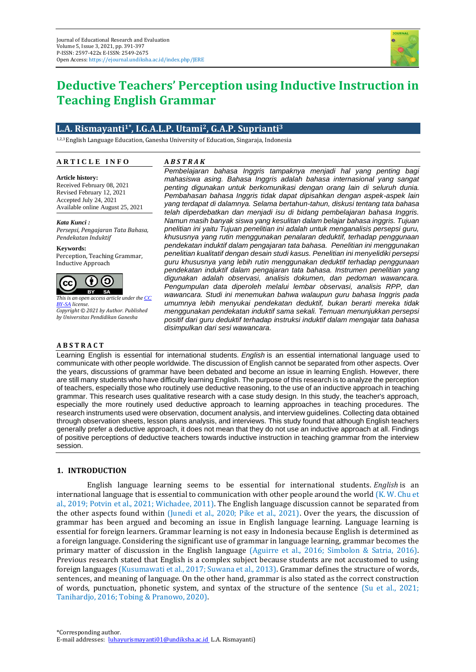

# **Deductive Teachers' Perception using Inductive Instruction in Teaching English Grammar**

# **L.A. Rismayanti1\* , I.G.A.L.P. Utami2, G.A.P. Suprianti<sup>3</sup>**

1,2,3English Language Education, Ganesha University of Education, Singaraja, Indonesia

# **A R T I C L E I N F O A R T I C L E I N F O**

## **A** *B S T R A K*

*Article history:* Received February 08, 2021 Revised February 12, 2021 Accepted July 24, 2021 Accepted July 24, 2021 Available online August 25, 2021 Available online August 25, 2021 **Article history:**

*Keywords: Pendekatan Induktif Kata Kunci : Persepsi, Pengajaran Tata Bahasa,* 

*Communicative, Collaborative, BSE* **Keywords:** Perception, Teaching Grammar, Inductive Approach



*This is an open access article under the [CC](https://creativecommons.org/licenses/by-sa/4.0/)  [BY-SA](https://creativecommons.org/licenses/by-sa/4.0/) license. Copyright © 2021 by Author. Published by Universitas Pendidikan Ganesha*

#### **A B S T R A C T**

*Pembelajaran bahasa Inggris tampaknya menjadi hal yang penting bagi mahasiswa asing. Bahasa Inggris adalah bahasa internasional yang sangat penting digunakan untuk berkomunikasi dengan orang lain di seluruh dunia. Pembahasan bahasa Inggris tidak dapat dipisahkan dengan aspek-aspek lain yang terdapat di dalamnya. Selama bertahun-tahun, diskusi tentang tata bahasa telah diperdebatkan dan menjadi isu di bidang pembelajaran bahasa Inggris. Namun masih banyak siswa yang kesulitan dalam belajar bahasa inggris. Tujuan pnelitian ini yaitu Tujuan penelitian ini adalah untuk menganalisis persepsi guru, khususnya yang rutin menggunakan penalaran deduktif, terhadap penggunaan pendekatan induktif dalam pengajaran tata bahasa. Penelitian ini menggunakan penelitian kualitatif dengan desain studi kasus. Penelitian ini menyelidiki persepsi guru khususnya yang lebih rutin menggunakan deduktif terhadap penggunaan pendekatan induktif dalam pengajaran tata bahasa. Instrumen penelitian yang digunakan adalah observasi, analisis dokumen, dan pedoman wawancara. Pengumpulan data diperoleh melalui lembar observasi, analisis RPP, dan wawancara. Studi ini menemukan bahwa walaupun guru bahasa Inggris pada umumnya lebih menyukai pendekatan deduktif, bukan berarti mereka tidak menggunakan pendekatan induktif sama sekali. Temuan menunjukkan persepsi positif dari guru deduktif terhadap instruksi induktif dalam mengajar tata bahasa disimpulkan dari sesi wawancara.*

Learning English is essential for international students. *English* is an essential international language used to communicate with other people worldwide. The discussion of English cannot be separated from other aspects. Over the years, discussions of grammar have been debated and become an issue in learning English. However, there are still many students who have difficulty learning English. The purpose of this research is to analyze the perception of teachers, especially those who routinely use deductive reasoning, to the use of an inductive approach in teaching grammar. This research uses qualitative research with a case study design. In this study, the teacher's approach, especially the more routinely used deductive approach to learning approaches in teaching procedures. The research instruments used were observation, document analysis, and interview guidelines. Collecting data obtained through observation sheets, lesson plans analysis, and interviews. This study found that although English teachers generally prefer a deductive approach, it does not mean that they do not use an inductive approach at all. Findings of positive perceptions of deductive teachers towards inductive instruction in teaching grammar from the interview session.

### **1. INTRODUCTION**

English language learning seems to be essential for international students. *English* is an international language that is essential to communication with other people around the world (K. W. Chu et al., 2019; Potvin et al., 2021; Wichadee, 2011). The English language discussion cannot be separated from the other aspects found within (Junedi et al., 2020; Pike et al., 2021). Over the years, the discussion of grammar has been argued and becoming an issue in English language learning. Language learning is essential for foreign learners. Grammar learning is not easy in Indonesia because English is determined as a foreign language. Considering the significant use of grammar in language learning, grammar becomes the primary matter of discussion in the English language (Aguirre et al., 2016; Simbolon & Satria, 2016). Previous research stated that English is a complex subject because students are not accustomed to using foreign languages (Kusumawati et al., 2017; Suwana et al., 2013). Grammar defines the structure of words, sentences, and meaning of language. On the other hand, grammar is also stated as the correct construction of words, punctuation, phonetic system, and syntax of the structure of the sentence (Su et al., 2021; Tanihardjo, 2016; Tobing & Pranowo, 2020).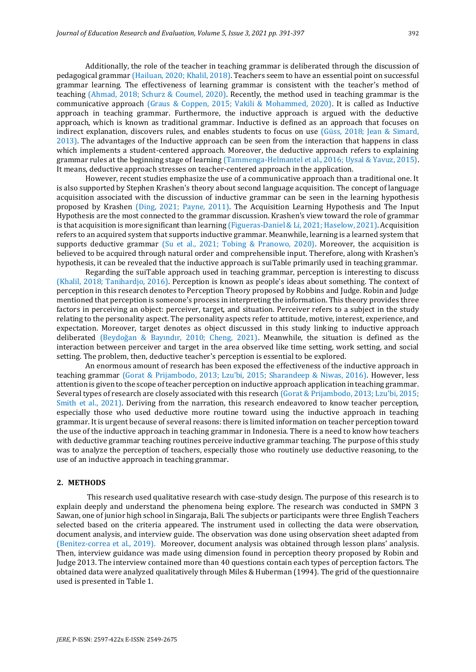Additionally, the role of the teacher in teaching grammar is deliberated through the discussion of pedagogical grammar (Hailuan, 2020; Khalil, 2018). Teachers seem to have an essential point on successful grammar learning. The effectiveness of learning grammar is consistent with the teacher's method of teaching (Ahmad, 2018; Schurz & Coumel, 2020). Recently, the method used in teaching grammar is the communicative approach (Graus & Coppen, 2015; Vakili & Mohammed, 2020). It is called as Inductive approach in teaching grammar. Furthermore, the inductive approach is argued with the deductive approach, which is known as traditional grammar. Inductive is defined as an approach that focuses on indirect explanation, discovers rules, and enables students to focus on use (Güss, 2018; Jean & Simard, 2013). The advantages of the Inductive approach can be seen from the interaction that happens in class which implements a student-centered approach. Moreover, the deductive approach refers to explaining grammar rules at the beginning stage of learning (Tammenga-Helmantel et al., 2016; Uysal & Yavuz, 2015). It means, deductive approach stresses on teacher-centered approach in the application.

However, recent studies emphasize the use of a communicative approach than a traditional one. It is also supported by Stephen Krashen's theory about second language acquisition. The concept of language acquisition associated with the discussion of inductive grammar can be seen in the learning hypothesis proposed by Krashen (Ding, 2021; Payne, 2011). The Acquisition Learning Hypothesis and The Input Hypothesis are the most connected to the grammar discussion. Krashen's view toward the role of grammar is that acquisition is more significant than learning (Figueras-Daniel & Li, 2021; Haselow, 2021). Acquisition refers to an acquired system that supports inductive grammar. Meanwhile, learning is a learned system that supports deductive grammar (Su et al., 2021; Tobing & Pranowo, 2020). Moreover, the acquisition is believed to be acquired through natural order and comprehensible input. Therefore, along with Krashen's hypothesis, it can be revealed that the inductive approach is suiTable primarily used in teaching grammar.

Regarding the suiTable approach used in teaching grammar, perception is interesting to discuss (Khalil, 2018; Tanihardjo, 2016). Perception is known as people's ideas about something. The context of perception in this research denotes to Perception Theory proposed by Robbins and Judge. Robin and Judge mentioned that perception is someone's process in interpreting the information. This theory provides three factors in perceiving an object: perceiver, target, and situation. Perceiver refers to a subject in the study relating to the personality aspect. The personality aspects refer to attitude, motive, interest, experience, and expectation. Moreover, target denotes as object discussed in this study linking to inductive approach deliberated (Beydoğan & Bayındır, 2010; Cheng, 2021). Meanwhile, the situation is defined as the interaction between perceiver and target in the area observed like time setting, work setting, and social setting. The problem, then, deductive teacher's perception is essential to be explored.

An enormous amount of research has been exposed the effectiveness of the inductive approach in teaching grammar (Gorat & Prijambodo, 2013; Lzu'bi, 2015; Sharandeep & Niwas, 2016). However, less attention is given to the scope of teacher perception on inductive approach application in teaching grammar. Several types of research are closely associated with this research (Gorat & Prijambodo, 2013; Lzu'bi, 2015; Smith et al., 2021). Deriving from the narration, this research endeavored to know teacher perception, especially those who used deductive more routine toward using the inductive approach in teaching grammar. It is urgent because of several reasons: there is limited information on teacher perception toward the use of the inductive approach in teaching grammar in Indonesia. There is a need to know how teachers with deductive grammar teaching routines perceive inductive grammar teaching. The purpose of this study was to analyze the perception of teachers, especially those who routinely use deductive reasoning, to the use of an inductive approach in teaching grammar.

#### **2. METHODS**

This research used qualitative research with case-study design. The purpose of this research is to explain deeply and understand the phenomena being explore. The research was conducted in SMPN 3 Sawan, one of junior high school in Singaraja, Bali. The subjects or participants were three English Teachers selected based on the criteria appeared. The instrument used in collecting the data were observation, document analysis, and interview guide. The observation was done using observation sheet adapted from (Benitez-correa et al., 2019). Moreover, document analysis was obtained through lesson plans' analysis. Then, interview guidance was made using dimension found in perception theory proposed by Robin and Judge 2013. The interview contained more than 40 questions contain each types of perception factors. The obtained data were analyzed qualitatively through Miles & Huberman (1994). The grid of the questionnaire used is presented in Table 1.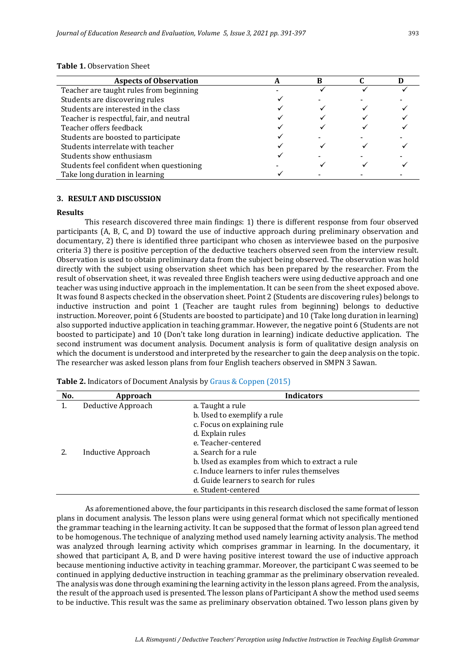| <b>Aspects of Observation</b>            |  |  |
|------------------------------------------|--|--|
| Teacher are taught rules from beginning  |  |  |
| Students are discovering rules           |  |  |
| Students are interested in the class     |  |  |
| Teacher is respectful, fair, and neutral |  |  |
| Teacher offers feedback                  |  |  |
| Students are boosted to participate      |  |  |
| Students interrelate with teacher        |  |  |
| Students show enthusiasm                 |  |  |
| Students feel confident when questioning |  |  |
| Take long duration in learning           |  |  |

# **3. RESULT AND DISCUSSION**

#### **Results**

This research discovered three main findings: 1) there is different response from four observed participants (A, B, C, and D) toward the use of inductive approach during preliminary observation and documentary, 2) there is identified three participant who chosen as interviewee based on the purposive criteria 3) there is positive perception of the deductive teachers observed seen from the interview result. Observation is used to obtain preliminary data from the subject being observed. The observation was hold directly with the subject using observation sheet which has been prepared by the researcher. From the result of observation sheet, it was revealed three English teachers were using deductive approach and one teacher was using inductive approach in the implementation. It can be seen from the sheet exposed above. It was found 8 aspects checked in the observation sheet. Point 2 (Students are discovering rules) belongs to inductive instruction and point 1 (Teacher are taught rules from beginning) belongs to deductive instruction. Moreover, point 6 (Students are boosted to participate) and 10 (Take long duration in learning) also supported inductive application in teaching grammar. However, the negative point 6 (Students are not boosted to participate) and 10 (Don't take long duration in learning) indicate deductive application. The second instrument was document analysis. Document analysis is form of qualitative design analysis on which the document is understood and interpreted by the researcher to gain the deep analysis on the topic. The researcher was asked lesson plans from four English teachers observed in SMPN 3 Sawan.

| No. | Approach           | <b>Indicators</b>                                |
|-----|--------------------|--------------------------------------------------|
| 1.  | Deductive Approach | a. Taught a rule                                 |
|     |                    | b. Used to exemplify a rule                      |
|     |                    | c. Focus on explaining rule                      |
|     |                    | d. Explain rules                                 |
|     |                    | e. Teacher-centered                              |
|     | Inductive Approach | a. Search for a rule                             |
|     |                    | b. Used as examples from which to extract a rule |
|     |                    | c. Induce learners to infer rules themselves     |
|     |                    | d. Guide learners to search for rules            |
|     |                    | e. Student-centered                              |

**Table 2.** Indicators of Document Analysis by Graus & Coppen (2015)

As aforementioned above, the four participants in this research disclosed the same format of lesson plans in document analysis. The lesson plans were using general format which not specifically mentioned the grammar teaching in the learning activity. It can be supposed that the format of lesson plan agreed tend to be homogenous. The technique of analyzing method used namely learning activity analysis. The method was analyzed through learning activity which comprises grammar in learning. In the documentary, it showed that participant A, B, and D were having positive interest toward the use of inductive approach because mentioning inductive activity in teaching grammar. Moreover, the participant C was seemed to be continued in applying deductive instruction in teaching grammar as the preliminary observation revealed. The analysis was done through examining the learning activity in the lesson plans agreed. From the analysis, the result of the approach used is presented. The lesson plans of Participant A show the method used seems to be inductive. This result was the same as preliminary observation obtained. Two lesson plans given by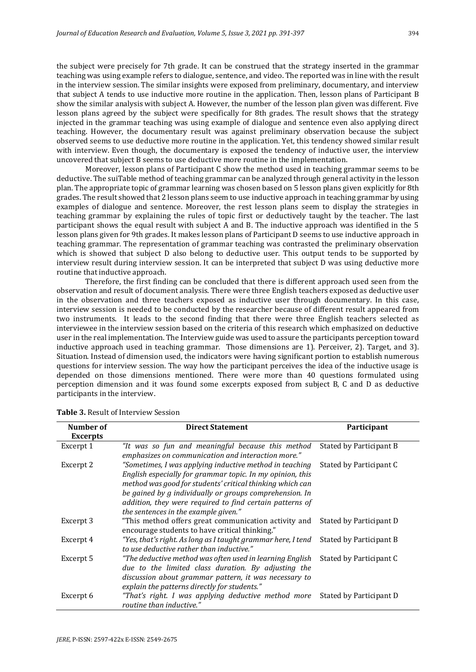the subject were precisely for 7th grade. It can be construed that the strategy inserted in the grammar teaching was using example refers to dialogue, sentence, and video. The reported was in line with the result in the interview session. The similar insights were exposed from preliminary, documentary, and interview that subject A tends to use inductive more routine in the application. Then, lesson plans of Participant B show the similar analysis with subject A. However, the number of the lesson plan given was different. Five lesson plans agreed by the subject were specifically for 8th grades. The result shows that the strategy injected in the grammar teaching was using example of dialogue and sentence even also applying direct teaching. However, the documentary result was against preliminary observation because the subject observed seems to use deductive more routine in the application. Yet, this tendency showed similar result with interview. Even though, the documentary is exposed the tendency of inductive user, the interview uncovered that subject B seems to use deductive more routine in the implementation.

Moreover, lesson plans of Participant C show the method used in teaching grammar seems to be deductive. The suiTable method of teaching grammar can be analyzed through general activity in the lesson plan. The appropriate topic of grammar learning was chosen based on 5 lesson plans given explicitly for 8th grades. The result showed that 2 lesson plans seem to use inductive approach in teaching grammar by using examples of dialogue and sentence. Moreover, the rest lesson plans seem to display the strategies in teaching grammar by explaining the rules of topic first or deductively taught by the teacher. The last participant shows the equal result with subject A and B. The inductive approach was identified in the 5 lesson plans given for 9th grades. It makes lesson plans of Participant D seems to use inductive approach in teaching grammar. The representation of grammar teaching was contrasted the preliminary observation which is showed that subject D also belong to deductive user. This output tends to be supported by interview result during interview session. It can be interpreted that subject D was using deductive more routine that inductive approach.

Therefore, the first finding can be concluded that there is different approach used seen from the observation and result of document analysis. There were three English teachers exposed as deductive user in the observation and three teachers exposed as inductive user through documentary. In this case, interview session is needed to be conducted by the researcher because of different result appeared from two instruments. It leads to the second finding that there were three English teachers selected as interviewee in the interview session based on the criteria of this research which emphasized on deductive user in the real implementation. The Interview guide was used to assure the participants perception toward inductive approach used in teaching grammar. Those dimensions are 1). Perceiver, 2). Target, and 3). Situation. Instead of dimension used, the indicators were having significant portion to establish numerous questions for interview session. The way how the participant perceives the idea of the inductive usage is depended on those dimensions mentioned. There were more than 40 questions formulated using perception dimension and it was found some excerpts exposed from subject B, C and D as deductive participants in the interview.

| Number of       | <b>Direct Statement</b>                                      | Participant             |
|-----------------|--------------------------------------------------------------|-------------------------|
| <b>Excerpts</b> |                                                              |                         |
| Excerpt 1       | "It was so fun and meaningful because this method            | Stated by Participant B |
|                 | emphasizes on communication and interaction more."           |                         |
| Excerpt 2       | "Sometimes, I was applying inductive method in teaching      | Stated by Participant C |
|                 | English especially for grammar topic. In my opinion, this    |                         |
|                 | method was good for students' critical thinking which can    |                         |
|                 | be gained by g individually or groups comprehension. In      |                         |
|                 | addition, they were required to find certain patterns of     |                         |
|                 | the sentences in the example given."                         |                         |
| Excerpt 3       | "This method offers great communication activity and         | Stated by Participant D |
|                 | encourage students to have critical thinking."               |                         |
| Excerpt 4       | "Yes, that's right. As long as I taught grammar here, I tend | Stated by Participant B |
|                 | to use deductive rather than inductive."                     |                         |
| Excerpt 5       | "The deductive method was often used in learning English     | Stated by Participant C |
|                 | due to the limited class duration. By adjusting the          |                         |
|                 | discussion about grammar pattern, it was necessary to        |                         |
|                 | explain the patterns directly for students."                 |                         |
| Excerpt 6       | "That's right. I was applying deductive method more          | Stated by Participant D |
|                 | routine than inductive."                                     |                         |

**Table 3.** Result of Interview Session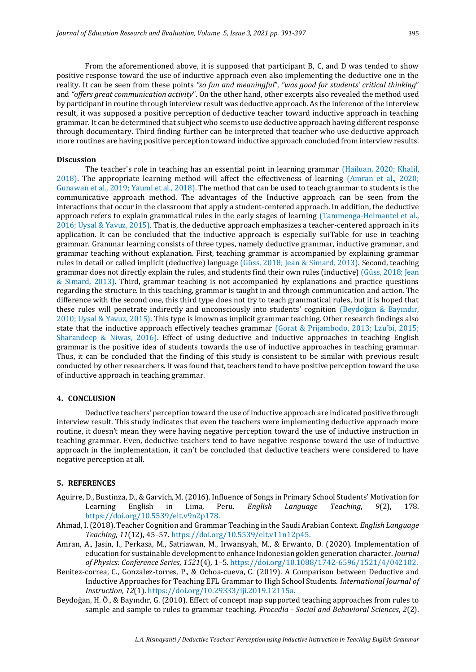From the aforementioned above, it is supposed that participant B, C, and D was tended to show positive response toward the use of inductive approach even also implementing the deductive one in the reality. It can be seen from these points *"so fun and meaningful*", *"was good for students' critical thinking*" and *"offers great communication activity*". On the other hand, other excerpts also revealed the method used by participant in routine through interview result was deductive approach. As the inference of the interview result, it was supposed a positive perception of deductive teacher toward inductive approach in teaching grammar. It can be determined that subject who seems to use deductive approach having different response through documentary. Third finding further can be interpreted that teacher who use deductive approach more routines are having positive perception toward inductive approach concluded from interview results.

#### **Discussion**

The teacher's role in teaching has an essential point in learning grammar (Hailuan, 2020; Khalil, 2018). The appropriate learning method will affect the effectiveness of learning (Amran et al., 2020; Gunawan et al., 2019; Yaumi et al., 2018). The method that can be used to teach grammar to students is the communicative approach method. The advantages of the Inductive approach can be seen from the interactions that occur in the classroom that apply a student-centered approach. In addition, the deductive approach refers to explain grammatical rules in the early stages of learning (Tammenga-Helmantel et al., 2016; Uysal & Yavuz, 2015). That is, the deductive approach emphasizes a teacher-centered approach in its application. It can be concluded that the inductive approach is especially suiTable for use in teaching grammar. Grammar learning consists of three types, namely deductive grammar, inductive grammar, and grammar teaching without explanation. First, teaching grammar is accompanied by explaining grammar rules in detail or called implicit (deductive) language (Güss, 2018; Jean & Simard, 2013). Second, teaching grammar does not directly explain the rules, and students find their own rules (inductive) (Güss, 2018; Jean & Simard, 2013). Third, grammar teaching is not accompanied by explanations and practice questions regarding the structure. In this teaching, grammar is taught in and through communication and action. The difference with the second one, this third type does not try to teach grammatical rules, but it is hoped that these rules will penetrate indirectly and unconsciously into students' cognition (Beydoğan & Bayındır, 2010; Uysal & Yavuz, 2015). This type is known as implicit grammar teaching. Other research findings also state that the inductive approach effectively teaches grammar (Gorat & Prijambodo, 2013; Lzu'bi, 2015; Sharandeep & Niwas, 2016). Effect of using deductive and inductive approaches in teaching English grammar is the positive idea of students towards the use of inductive approaches in teaching grammar. Thus, it can be concluded that the finding of this study is consistent to be similar with previous result conducted by other researchers. It was found that, teachers tend to have positive perception toward the use of inductive approach in teaching grammar.

#### **4. CONCLUSION**

Deductive teachers' perception toward the use of inductive approach are indicated positive through interview result. This study indicates that even the teachers were implementing deductive approach more routine, it doesn't mean they were having negative perception toward the use of inductive instruction in teaching grammar. Even, deductive teachers tend to have negative response toward the use of inductive approach in the implementation, it can't be concluded that deductive teachers were considered to have negative perception at all.

#### **5. REFERENCES**

- Aguirre, D., Bustinza, D., & Garvich, M. (2016). Influence of Songs in Primary School Students' Motivation for Learning English in Lima, Peru. *English Language Teaching*, *9*(2), 178. https://doi.org/10.5539/elt.v9n2p178.
- Ahmad, I. (2018). Teacher Cognition and Grammar Teaching in the Saudi Arabian Context. *English Language Teaching*, *11*(12), 45–57. https://doi.org/10.5539/elt.v11n12p45.
- Amran, A., Jasin, I., Perkasa, M., Satriawan, M., Irwansyah, M., & Erwanto, D. (2020). Implementation of education for sustainable development to enhance Indonesian golden generation character. *Journal of Physics: Conference Series*, *1521*(4), 1–5. https://doi.org/10.1088/1742-6596/1521/4/042102.
- Benitez-correa, C., Gonzalez-torres, P., & Ochoa-cueva, C. (2019). A Comparison between Deductive and Inductive Approaches for Teaching EFL Grammar to High School Students. *International Journal of Instruction*, *12*(1). https://doi.org/10.29333/iji.2019.12115a.
- Beydoğan, H. Ö., & Bayındır, G. (2010). Effect of concept map supported teaching approaches from rules to sample and sample to rules to grammar teaching. *Procedia - Social and Behavioral Sciences*, *2*(2).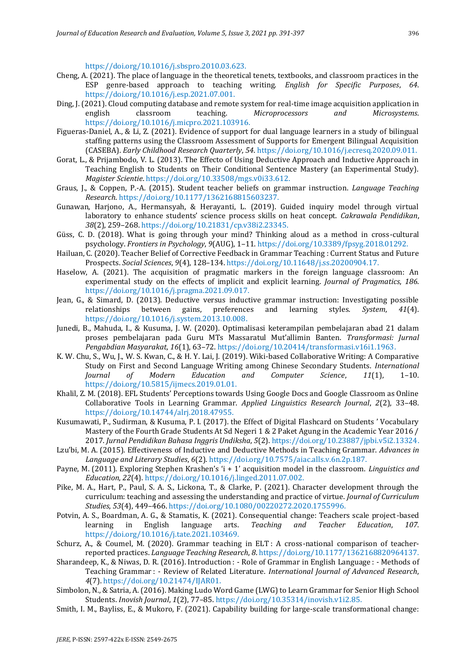https://doi.org/10.1016/j.sbspro.2010.03.623.

- Cheng, A. (2021). The place of language in the theoretical tenets, textbooks, and classroom practices in the ESP genre-based approach to teaching writing. *English for Specific Purposes*, *64*. https://doi.org/10.1016/j.esp.2021.07.001.
- Ding, J. (2021). Cloud computing database and remote system for real-time image acquisition application in english classroom teaching. *Microprocessors and Microsystems*. https://doi.org/10.1016/j.micpro.2021.103916.
- Figueras-Daniel, A., & Li, Z. (2021). Evidence of support for dual language learners in a study of bilingual staffing patterns using the Classroom Assessment of Supports for Emergent Bilingual Acquisition (CASEBA). *Early Childhood Research Quarterly*, *54*. https://doi.org/10.1016/j.ecresq.2020.09.011.
- Gorat, L., & Prijambodo, V. L. (2013). The Effecto of Using Deductive Approach and Inductive Approach in Teaching English to Students on Their Conditional Sentence Mastery (an Experimental Study). *Magister Scientie*. https://doi.org/10.33508/mgs.v0i33.612.
- Graus, J., & Coppen, P.-A. (2015). Student teacher beliefs on grammar instruction. *Language Teaching Research*. https://doi.org/10.1177/1362168815603237.
- Gunawan, Harjono, A., Hermansyah, & Herayanti, L. (2019). Guided inquiry model through virtual laboratory to enhance students' science process skills on heat concept. *Cakrawala Pendidikan*, *38*(2), 259–268. https://doi.org/10.21831/cp.v38i2.23345.
- Güss, C. D. (2018). What is going through your mind? Thinking aloud as a method in cross-cultural psychology. *Frontiers in Psychology*, *9*(AUG), 1–11. https://doi.org/10.3389/fpsyg.2018.01292.
- Hailuan, C. (2020). Teacher Belief of Corrective Feedback in Grammar Teaching : Current Status and Future Prospects. *Social Sciences*, *9*(4), 128–134. https://doi.org/10.11648/j.ss.20200904.17.
- Haselow, A. (2021). The acquisition of pragmatic markers in the foreign language classroom: An experimental study on the effects of implicit and explicit learning. *Journal of Pragmatics*, *186*. https://doi.org/10.1016/j.pragma.2021.09.017.
- Jean, G., & Simard, D. (2013). Deductive versus inductive grammar instruction: Investigating possible relationships between gains, preferences and learning styles. *System*, *41*(4). https://doi.org/10.1016/j.system.2013.10.008.
- Junedi, B., Mahuda, I., & Kusuma, J. W. (2020). Optimalisasi keterampilan pembelajaran abad 21 dalam proses pembelajaran pada Guru MTs Massaratul Mut'allimin Banten. *Transformasi: Jurnal Pengabdian Masyarakat*, *16*(1), 63–72. https://doi.org/10.20414/transformasi.v16i1.1963.
- K. W. Chu, S., Wu, J., W. S. Kwan, C., & H. Y. Lai, J. (2019). Wiki-based Collaborative Writing: A Comparative Study on First and Second Language Writing among Chinese Secondary Students. *International Journal of Modern Education and Computer Science*, *11*(1), 1–10. https://doi.org/10.5815/ijmecs.2019.01.01.
- Khalil, Z. M. (2018). EFL Students' Perceptions towards Using Google Docs and Google Classroom as Online Collaborative Tools in Learning Grammar. *Applied Linguistics Research Journal*, *2*(2), 33–48. https://doi.org/10.14744/alrj.2018.47955.
- Kusumawati, P., Sudirman, & Kusuma, P. I. (2017). the Effect of Digital Flashcard on Students ' Vocabulary Mastery of the Fourth Grade Students At Sd Negeri 1 & 2 Paket Agung in the Academic Year 2016 / 2017. *Jurnal Pendidikan Bahasa Inggris Undiksha*, *5*(2). https://doi.org/10.23887/jpbi.v5i2.13324.
- Lzu'bi, M. A. (2015). Effectiveness of Inductive and Deductive Methods in Teaching Grammar. *Advances in Language and Literary Studies*, *6*(2). https://doi.org/10.7575/aiac.alls.v.6n.2p.187.
- Payne, M. (2011). Exploring Stephen Krashen's 'i + 1' acquisition model in the classroom. *Linguistics and Education*, *22*(4). https://doi.org/10.1016/j.linged.2011.07.002.
- Pike, M. A., Hart, P., Paul, S. A. S., Lickona, T., & Clarke, P. (2021). Character development through the curriculum: teaching and assessing the understanding and practice of virtue. *Journal of Curriculum Studies*, *53*(4), 449–466. https://doi.org/10.1080/00220272.2020.1755996.
- Potvin, A. S., Boardman, A. G., & Stamatis, K. (2021). Consequential change: Teachers scale project-based learning in English language arts. *Teaching and Teacher Education*, *107*. https://doi.org/10.1016/j.tate.2021.103469.
- Schurz, A., & Coumel, M. (2020). Grammar teaching in ELT : A cross-national comparison of teacherreported practices. *Language Teaching Research*, *8*. https://doi.org/10.1177/1362168820964137.
- Sharandeep, K., & Niwas, D. R. (2016). Introduction : Role of Grammar in English Language : Methods of Teaching Grammar : - Review of Related Literature. *International Journal of Advanced Research*, *4*(7). https://doi.org/10.21474/IJAR01.
- Simbolon, N., & Satria, A. (2016). Making Ludo Word Game (LWG) to Learn Grammar for Senior High School Students. *Inovish Journal*, *1*(2), 77–85. https://doi.org/10.35314/inovish.v1i2.85.
- Smith, I. M., Bayliss, E., & Mukoro, F. (2021). Capability building for large-scale transformational change: